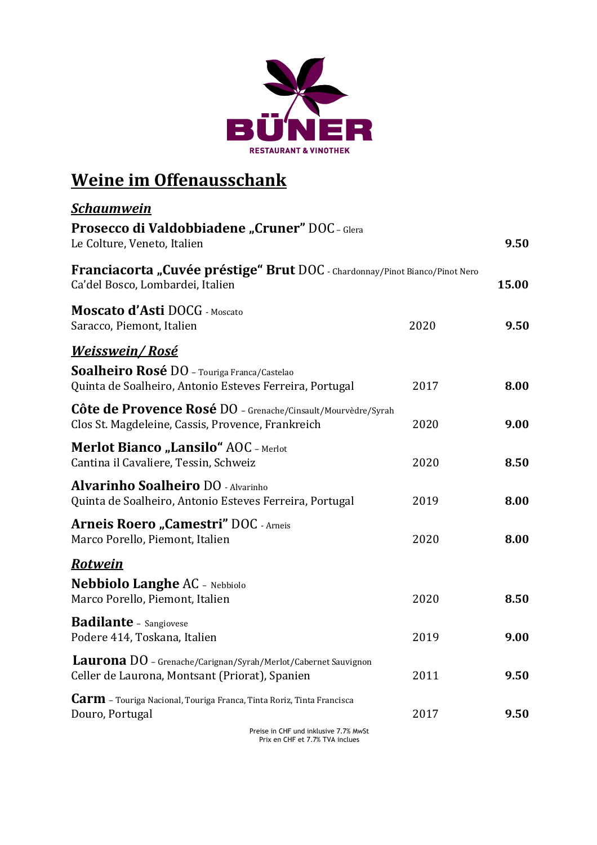

## **Weine im Offenausschank**

| <u>Schaumwein</u>                                                                                                       |      |       |
|-------------------------------------------------------------------------------------------------------------------------|------|-------|
| Prosecco di Valdobbiadene "Cruner" DOC - Glera<br>Le Colture, Veneto, Italien                                           |      | 9.50  |
| Franciacorta "Cuvée préstige" Brut DOC - Chardonnay/Pinot Bianco/Pinot Nero<br>Ca'del Bosco, Lombardei, Italien         |      | 15.00 |
| <b>Moscato d'Asti DOCG</b> - Moscato<br>Saracco, Piemont, Italien                                                       | 2020 | 9.50  |
| <u>Weisswein/Rosé</u>                                                                                                   |      |       |
| Soalheiro Rosé DO - Touriga Franca/Castelao<br>Quinta de Soalheiro, Antonio Esteves Ferreira, Portugal                  | 2017 | 8.00  |
| Côte de Provence Rosé DO - Grenache/Cinsault/Mourvèdre/Syrah<br>Clos St. Magdeleine, Cassis, Provence, Frankreich       | 2020 | 9.00  |
| <b>Merlot Bianco "Lansilo" AOC - Merlot</b><br>Cantina il Cavaliere, Tessin, Schweiz                                    | 2020 | 8.50  |
| <b>Alvarinho Soalheiro DO - Alvarinho</b><br>Quinta de Soalheiro, Antonio Esteves Ferreira, Portugal                    | 2019 | 8.00  |
| <b>Arneis Roero "Camestri" DOC - Arneis</b><br>Marco Porello, Piemont, Italien                                          | 2020 | 8.00  |
| <b>Rotwein</b>                                                                                                          |      |       |
| <b>Nebbiolo Langhe AC</b> - Nebbiolo<br>Marco Porello, Piemont, Italien                                                 | 2020 | 8.50  |
| <b>Badilante</b> - Sangiovese<br>Podere 414, Toskana, Italien                                                           | 2019 | 9.00  |
| <b>Laurona</b> DO - Grenache/Carignan/Syrah/Merlot/Cabernet Sauvignon<br>Celler de Laurona, Montsant (Priorat), Spanien | 2011 | 9.50  |
| <b>Carm</b> - Touriga Nacional, Touriga Franca, Tinta Roriz, Tinta Francisca<br>Douro, Portugal                         | 2017 | 9.50  |
|                                                                                                                         |      |       |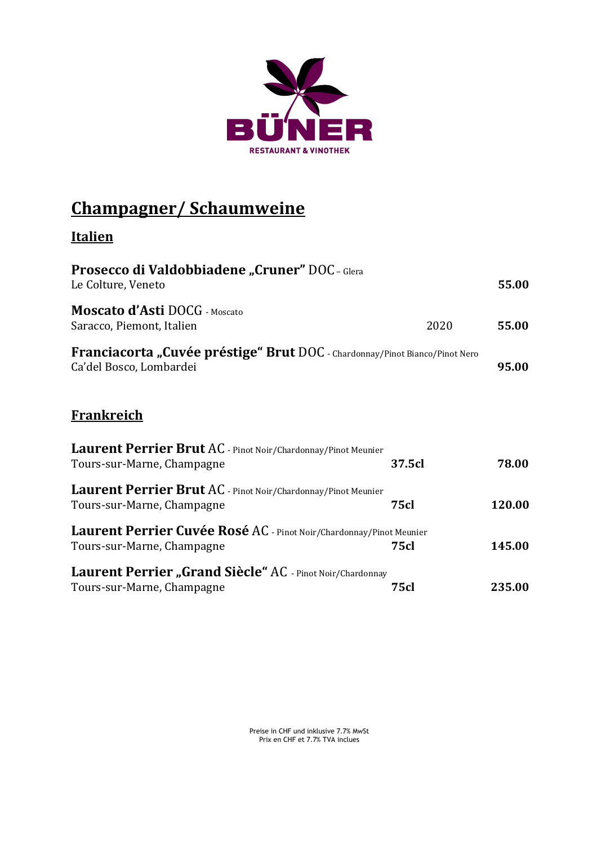

## **Champagner/ Schaumweine**

### **Italien**

| <b>Prosecco di Valdobbiadene "Cruner" DOC - Glera</b><br>Le Colture, Veneto                            |             | 55.00  |
|--------------------------------------------------------------------------------------------------------|-------------|--------|
| <b>Moscato d'Asti</b> DOCG - Moscato<br>Saracco, Piemont, Italien                                      | 2020        | 55.00  |
| Franciacorta "Cuvée préstige" Brut DOC - Chardonnay/Pinot Bianco/Pinot Nero<br>Ca'del Bosco, Lombardei |             | 95.00  |
| <b>Frankreich</b>                                                                                      |             |        |
| Laurent Perrier Brut AC - Pinot Noir/Chardonnay/Pinot Meunier<br>Tours-sur-Marne, Champagne            | 37.5cl      | 78.00  |
| Laurent Perrier Brut AC - Pinot Noir/Chardonnay/Pinot Meunier<br>Tours-sur-Marne, Champagne            | <b>75cl</b> | 120.00 |
| Laurent Perrier Cuvée Rosé AC - Pinot Noir/Chardonnay/Pinot Meunier<br>Tours-sur-Marne, Champagne      | <b>75cl</b> | 145.00 |
| Laurent Perrier "Grand Siècle" AC - Pinot Noir/Chardonnay<br>Tours-sur-Marne, Champagne                | <b>75cl</b> | 235.00 |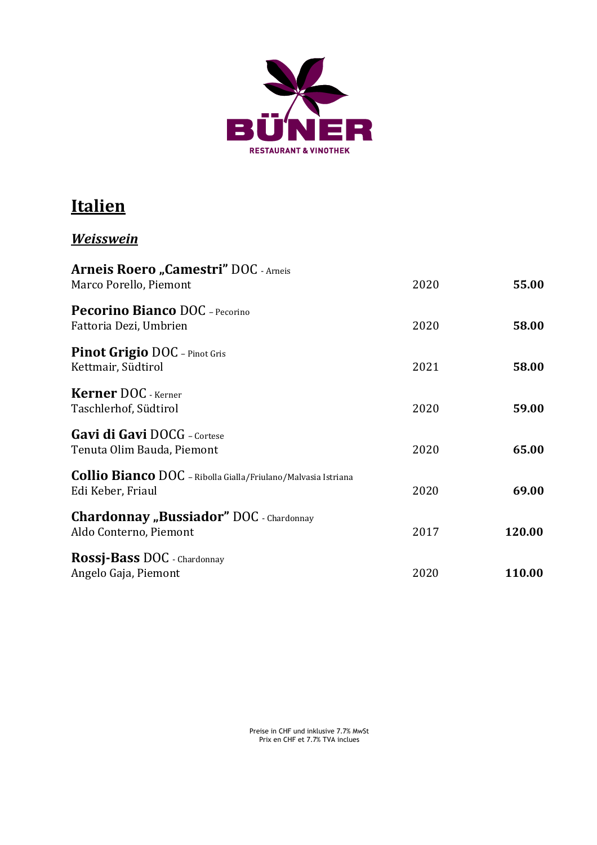

### **Italien**

### *Weisswein*

| <b>Arneis Roero "Camestri" DOC - Arneis</b><br>Marco Porello, Piemont                     | 2020 | 55.00  |
|-------------------------------------------------------------------------------------------|------|--------|
| <b>Pecorino Bianco DOC</b> - Pecorino<br>Fattoria Dezi, Umbrien                           | 2020 | 58.00  |
| <b>Pinot Grigio DOC</b> - Pinot Gris<br>Kettmair, Südtirol                                | 2021 | 58.00  |
| <b>Kerner DOC</b> - Kerner<br>Taschlerhof, Südtirol                                       | 2020 | 59.00  |
| Gavi di Gavi DOCG - Cortese<br>Tenuta Olim Bauda, Piemont                                 | 2020 | 65.00  |
| <b>Collio Bianco</b> DOC - Ribolla Gialla/Friulano/Malvasia Istriana<br>Edi Keber, Friaul | 2020 | 69.00  |
| <b>Chardonnay</b> "Bussiador" DOC - Chardonnay<br>Aldo Conterno, Piemont                  | 2017 | 120.00 |
| Rossj-Bass DOC - Chardonnay<br>Angelo Gaja, Piemont                                       | 2020 | 110.00 |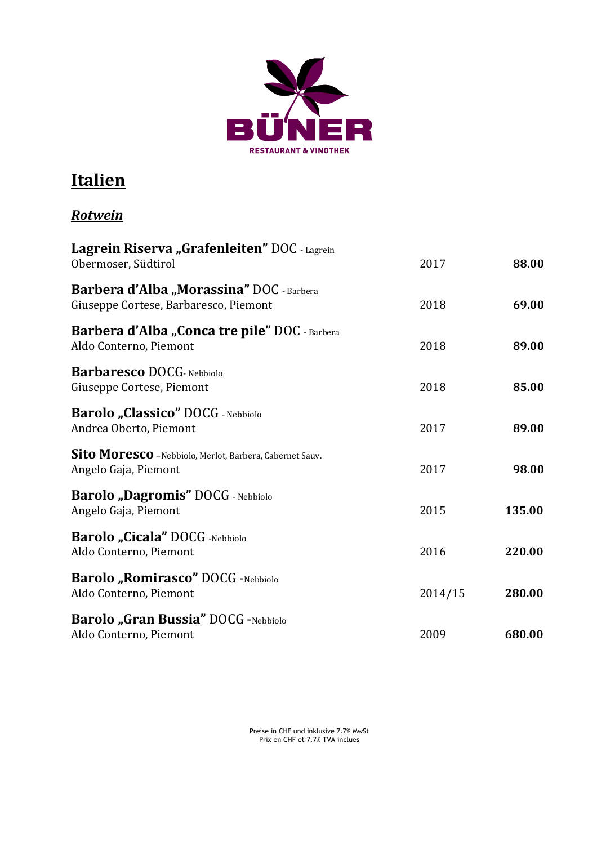

### **Italien**

#### *Rotwein*

| Lagrein Riserva "Grafenleiten" DOC - Lagrein<br>Obermoser, Südtirol               | 2017    | 88.00  |
|-----------------------------------------------------------------------------------|---------|--------|
| Barbera d'Alba "Morassina" DOC - Barbera<br>Giuseppe Cortese, Barbaresco, Piemont | 2018    | 69.00  |
| Barbera d'Alba "Conca tre pile" DOC - Barbera<br>Aldo Conterno, Piemont           | 2018    | 89.00  |
| <b>Barbaresco DOCG</b> - Nebbiolo<br>Giuseppe Cortese, Piemont                    | 2018    | 85.00  |
| Barolo "Classico" DOCG - Nebbiolo<br>Andrea Oberto, Piemont                       | 2017    | 89.00  |
| Sito Moresco - Nebbiolo, Merlot, Barbera, Cabernet Sauv.<br>Angelo Gaja, Piemont  | 2017    | 98.00  |
| <b>Barolo "Dagromis" DOCG</b> - Nebbiolo<br>Angelo Gaja, Piemont                  | 2015    | 135.00 |
| Barolo "Cicala" DOCG -Nebbiolo<br>Aldo Conterno, Piemont                          | 2016    | 220.00 |
| <b>Barolo "Romirasco"</b> DOCG -Nebbiolo<br>Aldo Conterno, Piemont                | 2014/15 | 280.00 |
| <b>Barolo "Gran Bussia" DOCG -Nebbiolo</b><br>Aldo Conterno, Piemont              | 2009    | 680.00 |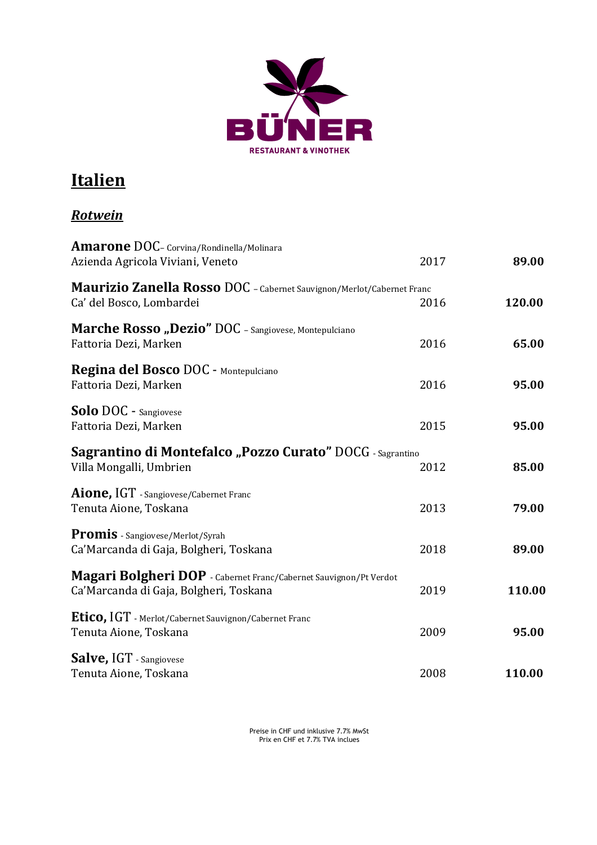

## **Italien**

#### *Rotwein*

| <b>Amarone DOC</b> - Corvina/Rondinella/Molinara<br>Azienda Agricola Viviani, Veneto                        | 2017 | 89.00  |
|-------------------------------------------------------------------------------------------------------------|------|--------|
| Maurizio Zanella Rosso DOC - Cabernet Sauvignon/Merlot/Cabernet Franc<br>Ca' del Bosco, Lombardei           | 2016 | 120.00 |
| Marche Rosso "Dezio" DOC - Sangiovese, Montepulciano<br>Fattoria Dezi, Marken                               | 2016 | 65.00  |
| Regina del Bosco DOC - Montepulciano<br>Fattoria Dezi, Marken                                               | 2016 | 95.00  |
| Solo DOC - Sangiovese<br>Fattoria Dezi, Marken                                                              | 2015 | 95.00  |
| Sagrantino di Montefalco "Pozzo Curato" DOCG - Sagrantino<br>Villa Mongalli, Umbrien                        | 2012 | 85.00  |
| Aione, IGT - Sangiovese/Cabernet Franc<br>Tenuta Aione, Toskana                                             | 2013 | 79.00  |
| Promis - Sangiovese/Merlot/Syrah<br>Ca'Marcanda di Gaja, Bolgheri, Toskana                                  | 2018 | 89.00  |
| Magari Bolgheri DOP - Cabernet Franc/Cabernet Sauvignon/Pt Verdot<br>Ca'Marcanda di Gaja, Bolgheri, Toskana | 2019 | 110.00 |
| Etico, IGT - Merlot/Cabernet Sauvignon/Cabernet Franc<br>Tenuta Aione, Toskana                              | 2009 | 95.00  |
| Salve, IGT - Sangiovese<br>Tenuta Aione, Toskana                                                            | 2008 | 110.00 |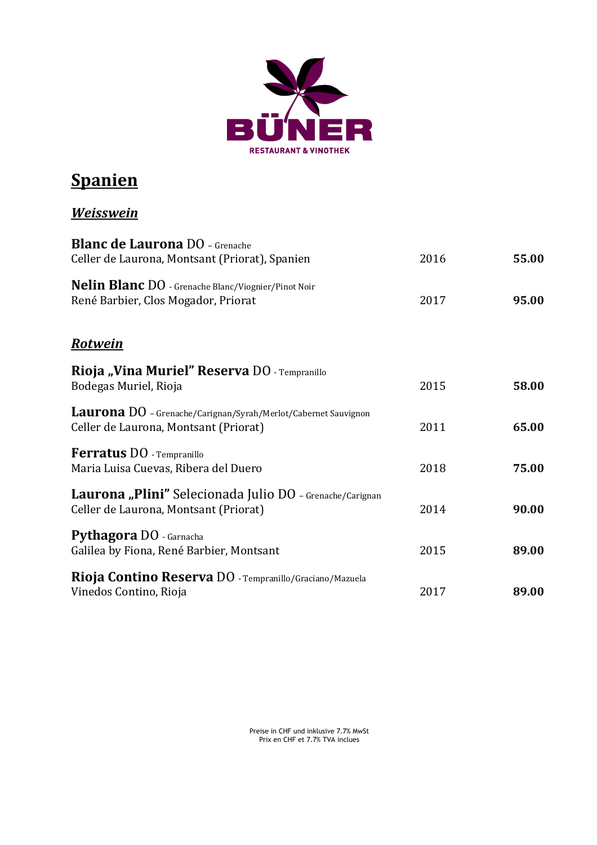

## **Spanien**

#### *Weisswein*

| <b>Blanc de Laurona</b> DO - Grenache<br>Celler de Laurona, Montsant (Priorat), Spanien                 | 2016 | 55.00 |
|---------------------------------------------------------------------------------------------------------|------|-------|
| Nelin Blanc DO - Grenache Blanc/Viognier/Pinot Noir<br>René Barbier, Clos Mogador, Priorat              | 2017 | 95.00 |
| <u>Rotwein</u>                                                                                          |      |       |
| Rioja "Vina Muriel" Reserva DO - Tempranillo<br>Bodegas Muriel, Rioja                                   | 2015 | 58.00 |
| Laurona DO - Grenache/Carignan/Syrah/Merlot/Cabernet Sauvignon<br>Celler de Laurona, Montsant (Priorat) | 2011 | 65.00 |
| <b>Ferratus DO</b> - Tempranillo<br>Maria Luisa Cuevas, Ribera del Duero                                | 2018 | 75.00 |
| Laurona "Plini" Selecionada Julio DO - Grenache/Carignan<br>Celler de Laurona, Montsant (Priorat)       | 2014 | 90.00 |
| Pythagora DO - Garnacha<br>Galilea by Fiona, René Barbier, Montsant                                     | 2015 | 89.00 |
| Rioja Contino Reserva DO - Tempranillo/Graciano/Mazuela<br>Vinedos Contino, Rioja                       | 2017 | 89.00 |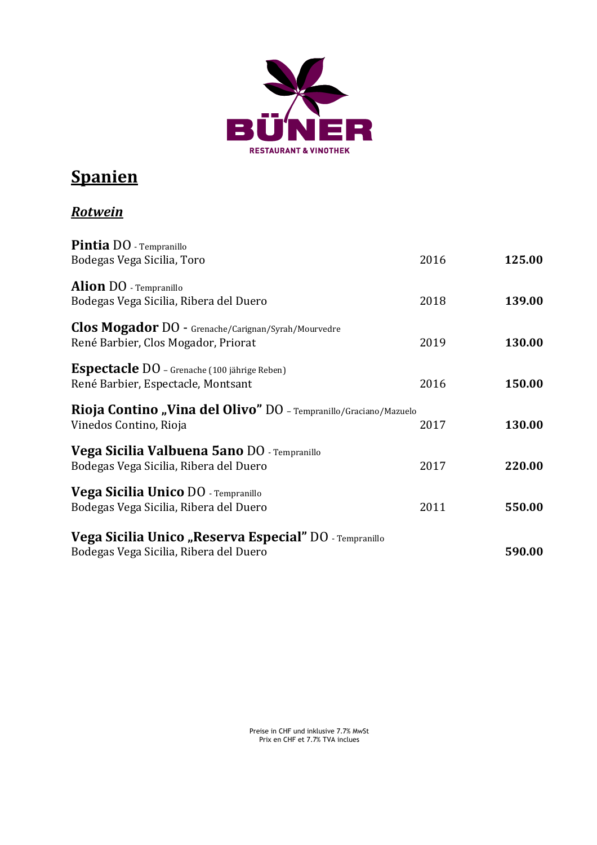

## **Spanien**

### *Rotwein*

| Pintia DO - Tempranillo<br>Bodegas Vega Sicilia, Toro                                             | 2016 | 125.00 |
|---------------------------------------------------------------------------------------------------|------|--------|
| <b>Alion DO</b> - Tempranillo<br>Bodegas Vega Sicilia, Ribera del Duero                           | 2018 | 139.00 |
| <b>Clos Mogador</b> DO - Grenache/Carignan/Syrah/Mourvedre<br>René Barbier, Clos Mogador, Priorat | 2019 | 130.00 |
| Espectacle DO - Grenache (100 jährige Reben)<br>René Barbier, Espectacle, Montsant                | 2016 | 150.00 |
| Rioja Contino "Vina del Olivo" DO - Tempranillo/Graciano/Mazuelo<br>Vinedos Contino, Rioja        | 2017 | 130.00 |
| <b>Vega Sicilia Valbuena 5ano DO</b> - Tempranillo<br>Bodegas Vega Sicilia, Ribera del Duero      | 2017 | 220.00 |
| <b>Vega Sicilia Unico DO</b> - Tempranillo<br>Bodegas Vega Sicilia, Ribera del Duero              | 2011 | 550.00 |
| Vega Sicilia Unico "Reserva Especial" DO - Tempranillo<br>Bodegas Vega Sicilia, Ribera del Duero  |      | 590.00 |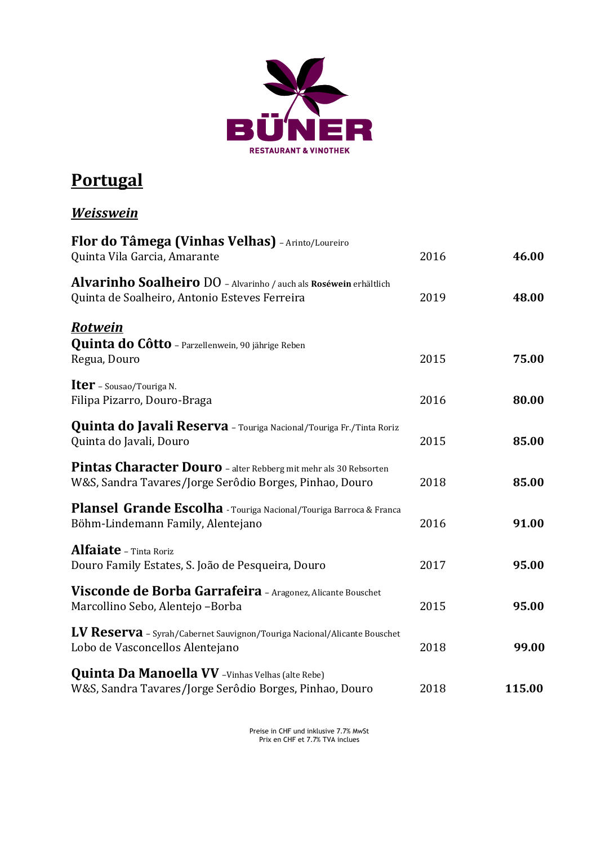

### **Portugal**

#### *Weisswein*

| Flor do Tâmega (Vinhas Velhas) - Arinto/Loureiro<br>Quinta Vila Garcia, Amarante                                            | 2016 | 46.00  |
|-----------------------------------------------------------------------------------------------------------------------------|------|--------|
| Alvarinho Soalheiro DO - Alvarinho / auch als Roséwein erhältlich<br>Quinta de Soalheiro, Antonio Esteves Ferreira          | 2019 | 48.00  |
| <u>Rotwein</u>                                                                                                              |      |        |
| <b>Quinta do Côtto</b> - Parzellenwein, 90 jährige Reben<br>Regua, Douro                                                    | 2015 | 75.00  |
| <b>Iter</b> - Sousao/Touriga N.<br>Filipa Pizarro, Douro-Braga                                                              | 2016 | 80.00  |
| Quinta do Javali Reserva - Touriga Nacional/Touriga Fr./Tinta Roriz<br>Quinta do Javali, Douro                              | 2015 | 85.00  |
| Pintas Character Douro - alter Rebberg mit mehr als 30 Rebsorten<br>W&S, Sandra Tavares/Jorge Serôdio Borges, Pinhao, Douro | 2018 | 85.00  |
| Plansel Grande Escolha - Touriga Nacional/Touriga Barroca & Franca<br>Böhm-Lindemann Family, Alentejano                     | 2016 | 91.00  |
| <b>Alfaiate</b> - Tinta Roriz<br>Douro Family Estates, S. João de Pesqueira, Douro                                          | 2017 | 95.00  |
| Visconde de Borba Garrafeira - Aragonez, Alicante Bouschet<br>Marcollino Sebo, Alentejo -Borba                              | 2015 | 95.00  |
| LV Reserva - Syrah/Cabernet Sauvignon/Touriga Nacional/Alicante Bouschet<br>Lobo de Vasconcellos Alentejano                 | 2018 | 99.00  |
| <b>Quinta Da Manoella VV</b> - Vinhas Velhas (alte Rebe)<br>W&S, Sandra Tavares/Jorge Serôdio Borges, Pinhao, Douro         | 2018 | 115.00 |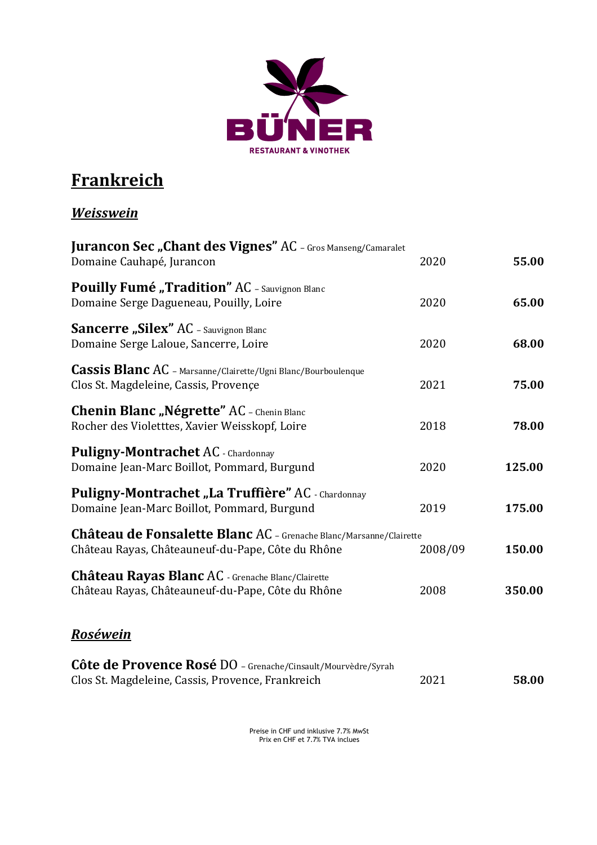

# **Frankreich**

#### *Weisswein*

| <b>Jurancon Sec "Chant des Vignes" AC</b> - Gros Manseng/Camaralet<br>Domaine Cauhapé, Jurancon                         | 2020    | 55.00  |
|-------------------------------------------------------------------------------------------------------------------------|---------|--------|
| <b>Pouilly Fumé</b> "Tradition" AC - Sauvignon Blanc<br>Domaine Serge Dagueneau, Pouilly, Loire                         | 2020    | 65.00  |
| <b>Sancerre "Silex" AC</b> - Sauvignon Blanc<br>Domaine Serge Laloue, Sancerre, Loire                                   | 2020    | 68.00  |
| <b>Cassis Blanc AC</b> - Marsanne/Clairette/Ugni Blanc/Bourboulenque<br>Clos St. Magdeleine, Cassis, Provençe           | 2021    | 75.00  |
| <b>Chenin Blanc "Négrette" AC</b> - Chenin Blanc<br>Rocher des Violetttes, Xavier Weisskopf, Loire                      | 2018    | 78.00  |
| Puligny-Montrachet AC - Chardonnay<br>Domaine Jean-Marc Boillot, Pommard, Burgund                                       | 2020    | 125.00 |
| Puligny-Montrachet "La Truffière" AC - Chardonnay<br>Domaine Jean-Marc Boillot, Pommard, Burgund                        | 2019    | 175.00 |
| Château de Fonsalette Blanc AC - Grenache Blanc/Marsanne/Clairette<br>Château Rayas, Châteauneuf-du-Pape, Côte du Rhône | 2008/09 | 150.00 |
| Château Rayas Blanc AC - Grenache Blanc/Clairette<br>Château Rayas, Châteauneuf-du-Pape, Côte du Rhône                  | 2008    | 350.00 |
| <u>Roséwein</u>                                                                                                         |         |        |
| Côte de Provence Rosé DO - Grenache/Cinsault/Mourvèdre/Syrah<br>Clos St. Magdeleine, Cassis, Provence, Frankreich       | 2021    | 58.00  |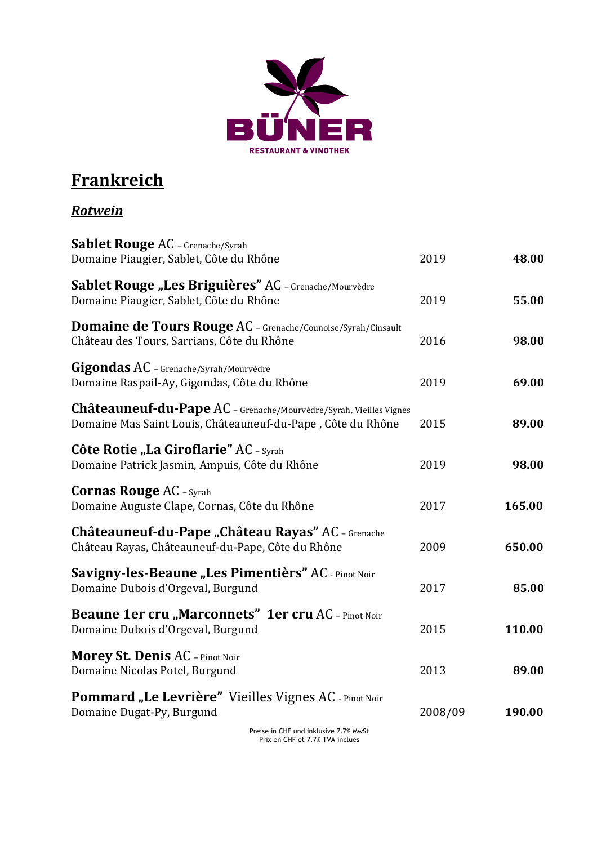

## **Frankreich**

### *Rotwein*

| Sablet Rouge AC - Grenache/Syrah<br>Domaine Piaugier, Sablet, Côte du Rhône                                                       | 2019    | 48.00  |
|-----------------------------------------------------------------------------------------------------------------------------------|---------|--------|
| Sablet Rouge "Les Briguières" AC - Grenache/Mourvèdre<br>Domaine Piaugier, Sablet, Côte du Rhône                                  | 2019    | 55.00  |
| <b>Domaine de Tours Rouge AC</b> - Grenache/Counoise/Syrah/Cinsault<br>Château des Tours, Sarrians, Côte du Rhône                 | 2016    | 98.00  |
| Gigondas AC - Grenache/Syrah/Mourvédre<br>Domaine Raspail-Ay, Gigondas, Côte du Rhône                                             | 2019    | 69.00  |
| Châteauneuf-du-Pape AC - Grenache/Mourvèdre/Syrah, Vieilles Vignes<br>Domaine Mas Saint Louis, Châteauneuf-du-Pape, Côte du Rhône | 2015    | 89.00  |
| Côte Rotie "La Giroflarie" AC - Syrah<br>Domaine Patrick Jasmin, Ampuis, Côte du Rhône                                            | 2019    | 98.00  |
| <b>Cornas Rouge AC - Syrah</b><br>Domaine Auguste Clape, Cornas, Côte du Rhône                                                    | 2017    | 165.00 |
| Châteauneuf-du-Pape "Château Rayas" AC - Grenache<br>Château Rayas, Châteauneuf-du-Pape, Côte du Rhône                            | 2009    | 650.00 |
| Savigny-les-Beaune "Les Pimentièrs" AC - Pinot Noir<br>Domaine Dubois d'Orgeval, Burgund                                          | 2017    | 85.00  |
| Beaune 1er cru "Marconnets" 1er cru AC - Pinot Noir<br>Domaine Dubois d'Orgeval, Burgund                                          | 2015    | 110.00 |
| <b>Morey St. Denis AC</b> - Pinot Noir<br>Domaine Nicolas Potel, Burgund                                                          | 2013    | 89.00  |
| Pommard "Le Levrière" Vieilles Vignes AC - Pinot Noir<br>Domaine Dugat-Py, Burgund                                                | 2008/09 | 190.00 |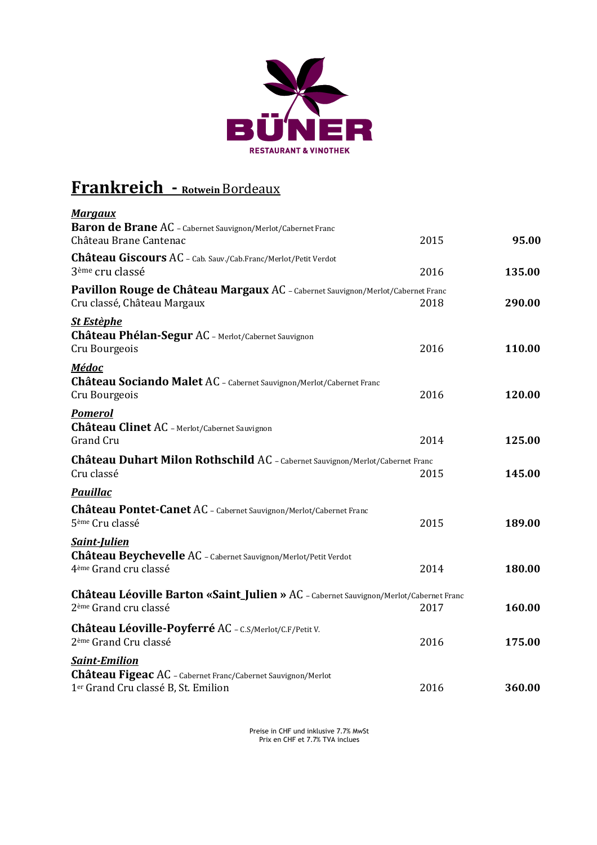

# **Frankreich - Rotwein** Bordeaux

| <b>Margaux</b>                                                                                                 |      |        |
|----------------------------------------------------------------------------------------------------------------|------|--------|
| <b>Baron de Brane AC</b> - Cabernet Sauvignon/Merlot/Cabernet Franc                                            |      |        |
| Château Brane Cantenac                                                                                         | 2015 | 95.00  |
| Château Giscours AC - Cab. Sauv./Cab.Franc/Merlot/Petit Verdot                                                 |      |        |
| 3 <sup>ème</sup> cru classé                                                                                    | 2016 | 135.00 |
| Pavillon Rouge de Château Margaux AC - Cabernet Sauvignon/Merlot/Cabernet Franc<br>Cru classé, Château Margaux | 2018 | 290.00 |
| <b>St Estèphe</b>                                                                                              |      |        |
| Château Phélan-Segur AC - Merlot/Cabernet Sauvignon                                                            |      |        |
| Cru Bourgeois                                                                                                  | 2016 | 110.00 |
| <b>Médoc</b>                                                                                                   |      |        |
| Château Sociando Malet AC - Cabernet Sauvignon/Merlot/Cabernet Franc                                           |      |        |
| Cru Bourgeois                                                                                                  | 2016 | 120.00 |
| <b>Pomerol</b>                                                                                                 |      |        |
| Château Clinet AC - Merlot/Cabernet Sauvignon                                                                  |      |        |
| <b>Grand Cru</b>                                                                                               | 2014 | 125.00 |
| Château Duhart Milon Rothschild AC - Cabernet Sauvignon/Merlot/Cabernet Franc                                  |      |        |
| Cru classé                                                                                                     | 2015 | 145.00 |
| <b>Pauillac</b>                                                                                                |      |        |
|                                                                                                                |      |        |
| Château Pontet-Canet AC - Cabernet Sauvignon/Merlot/Cabernet Franc                                             |      |        |
| 5 <sup>ème</sup> Cru classé                                                                                    | 2015 | 189.00 |
| <b>Saint-Julien</b>                                                                                            |      |        |
| Château Beychevelle AC - Cabernet Sauvignon/Merlot/Petit Verdot                                                |      |        |
| 4 <sup>ème</sup> Grand cru classé                                                                              | 2014 | 180.00 |
| Château Léoville Barton «Saint_Julien » AC - Cabernet Sauvignon/Merlot/Cabernet Franc                          |      |        |
| 2 <sup>ème</sup> Grand cru classé                                                                              | 2017 | 160.00 |
|                                                                                                                |      |        |
| Château Léoville-Poyferré AC - C.S/Merlot/C.F/Petit V.<br>2 <sup>ème</sup> Grand Cru classé                    | 2016 | 175.00 |
|                                                                                                                |      |        |
| <b>Saint-Emilion</b>                                                                                           |      |        |
| Château Figeac AC - Cabernet Franc/Cabernet Sauvignon/Merlot                                                   |      |        |
| 1 <sup>er</sup> Grand Cru classé B, St. Emilion                                                                | 2016 | 360.00 |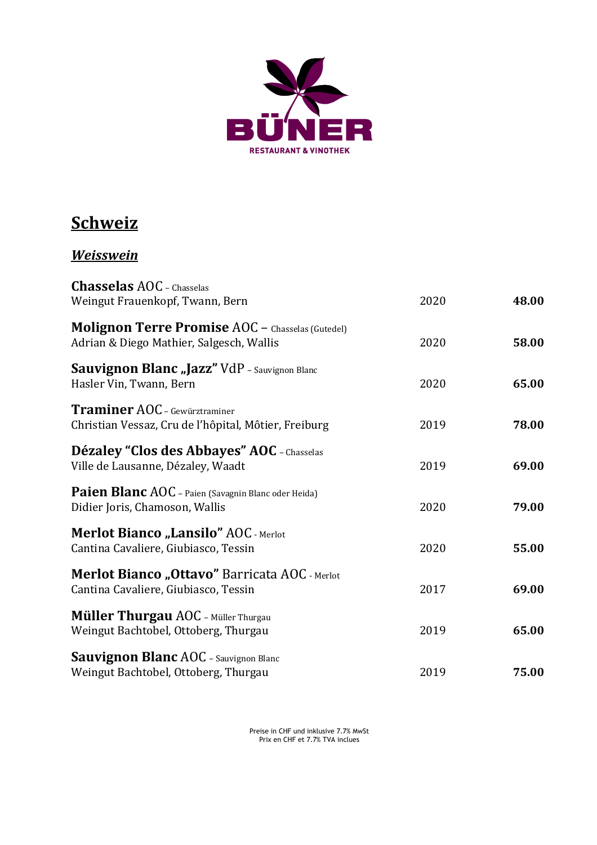

### **Schweiz**

#### *Weisswein*

| <b>Chasselas AOC</b> - Chasselas<br>Weingut Frauenkopf, Twann, Bern                                 | 2020 | 48.00 |
|-----------------------------------------------------------------------------------------------------|------|-------|
| <b>Molignon Terre Promise AOC</b> - Chasselas (Gutedel)<br>Adrian & Diego Mathier, Salgesch, Wallis | 2020 | 58.00 |
| Sauvignon Blanc "Jazz" VdP - Sauvignon Blanc<br>Hasler Vin, Twann, Bern                             | 2020 | 65.00 |
| <b>Traminer AOC</b> - Gewürztraminer<br>Christian Vessaz, Cru de l'hôpital, Môtier, Freiburg        | 2019 | 78.00 |
| Dézaley "Clos des Abbayes" AOC - Chasselas<br>Ville de Lausanne, Dézaley, Waadt                     | 2019 | 69.00 |
| <b>Paien Blanc AOC</b> - Paien (Savagnin Blanc oder Heida)<br>Didier Joris, Chamoson, Wallis        | 2020 | 79.00 |
| <b>Merlot Bianco "Lansilo" AOC - Merlot</b><br>Cantina Cavaliere, Giubiasco, Tessin                 | 2020 | 55.00 |
| Merlot Bianco "Ottavo" Barricata AOC - Merlot<br>Cantina Cavaliere, Giubiasco, Tessin               | 2017 | 69.00 |
| <b>Müller Thurgau AOC</b> - Müller Thurgau<br>Weingut Bachtobel, Ottoberg, Thurgau                  | 2019 | 65.00 |
| <b>Sauvignon Blanc AOC</b> - Sauvignon Blanc<br>Weingut Bachtobel, Ottoberg, Thurgau                | 2019 | 75.00 |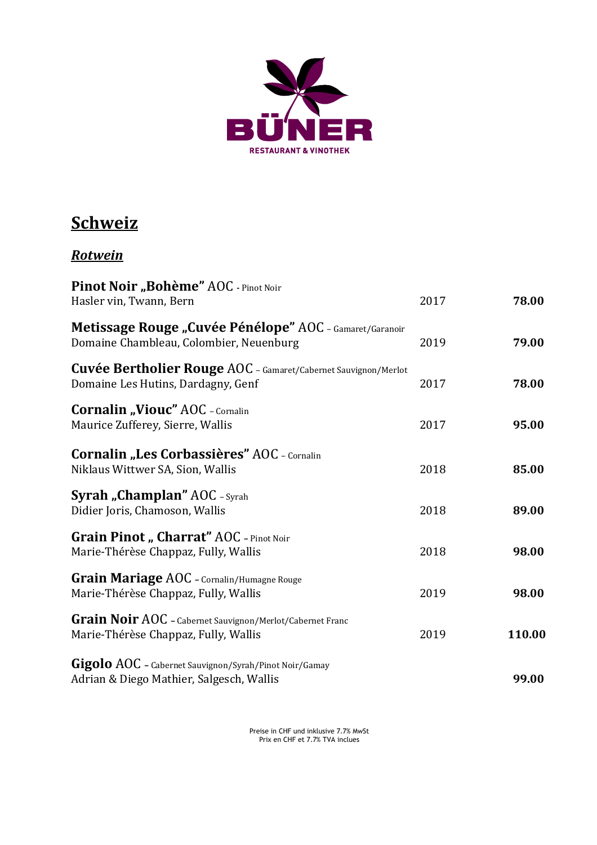

### **Schweiz**

### *Rotwein*

| Pinot Noir "Bohème" AOC - Pinot Noir<br>Hasler vin, Twann, Bern                                             | 2017 | 78.00  |
|-------------------------------------------------------------------------------------------------------------|------|--------|
| Metissage Rouge "Cuvée Pénélope" AOC - Gamaret/Garanoir<br>Domaine Chambleau, Colombier, Neuenburg          | 2019 | 79.00  |
| <b>Cuvée Bertholier Rouge AOC</b> - Gamaret/Cabernet Sauvignon/Merlot<br>Domaine Les Hutins, Dardagny, Genf | 2017 | 78.00  |
| <b>Cornalin "Viouc" AOC</b> - Cornalin<br>Maurice Zufferey, Sierre, Wallis                                  | 2017 | 95.00  |
| <b>Cornalin "Les Corbassières" AOC - Cornalin</b><br>Niklaus Wittwer SA, Sion, Wallis                       | 2018 | 85.00  |
| <b>Syrah "Champlan" AOC</b> - Syrah<br>Didier Joris, Chamoson, Wallis                                       | 2018 | 89.00  |
| <b>Grain Pinot</b> " Charrat" AOC - Pinot Noir<br>Marie-Thérèse Chappaz, Fully, Wallis                      | 2018 | 98.00  |
| <b>Grain Mariage AOC</b> - Cornalin/Humagne Rouge<br>Marie-Thérèse Chappaz, Fully, Wallis                   | 2019 | 98.00  |
| Grain Noir AOC - Cabernet Sauvignon/Merlot/Cabernet Franc<br>Marie-Thérèse Chappaz, Fully, Wallis           | 2019 | 110.00 |
| Gigolo AOC - Cabernet Sauvignon/Syrah/Pinot Noir/Gamay<br>Adrian & Diego Mathier, Salgesch, Wallis          |      | 99.00  |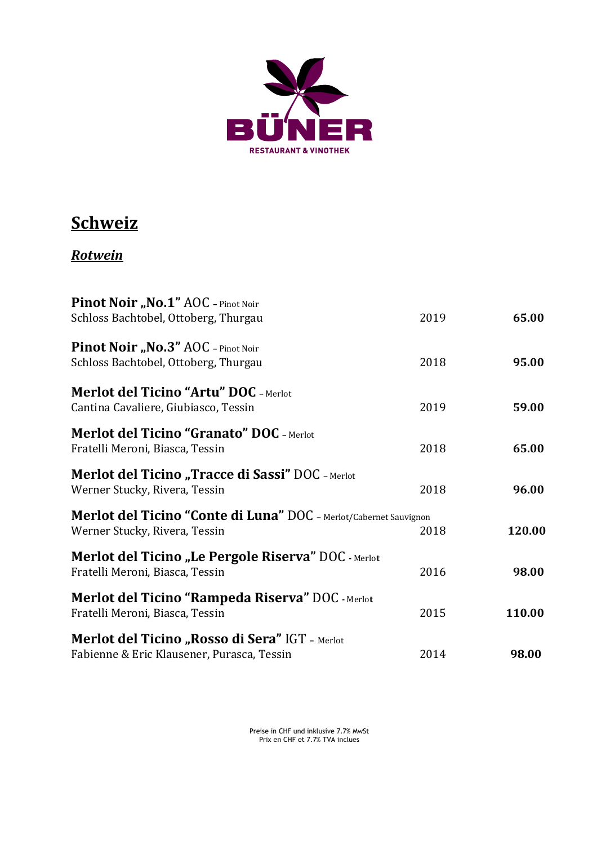

### **Schweiz**

### *Rotwein*

| Pinot Noir "No.1" AOC - Pinot Noir                                                                  |      |        |
|-----------------------------------------------------------------------------------------------------|------|--------|
| Schloss Bachtobel, Ottoberg, Thurgau                                                                | 2019 | 65.00  |
| Pinot Noir "No.3" AOC - Pinot Noir<br>Schloss Bachtobel, Ottoberg, Thurgau                          | 2018 | 95.00  |
| <b>Merlot del Ticino "Artu" DOC</b> - Merlot<br>Cantina Cavaliere, Giubiasco, Tessin                | 2019 | 59.00  |
| <b>Merlot del Ticino "Granato" DOC - Merlot</b><br>Fratelli Meroni, Biasca, Tessin                  | 2018 | 65.00  |
| <b>Merlot del Ticino "Tracce di Sassi" DOC</b> - Merlot<br>Werner Stucky, Rivera, Tessin            | 2018 | 96.00  |
| Merlot del Ticino "Conte di Luna" DOC - Merlot/Cabernet Sauvignon<br>Werner Stucky, Rivera, Tessin  | 2018 | 120.00 |
| <b>Merlot del Ticino "Le Pergole Riserva" DOC</b> - Merlot<br>Fratelli Meroni, Biasca, Tessin       | 2016 | 98.00  |
| <b>Merlot del Ticino "Rampeda Riserva" DOC - Merlot</b><br>Fratelli Meroni, Biasca, Tessin          | 2015 | 110.00 |
| <b>Merlot del Ticino "Rosso di Sera" IGT - Merlot</b><br>Fabienne & Eric Klausener, Purasca, Tessin | 2014 | 98.00  |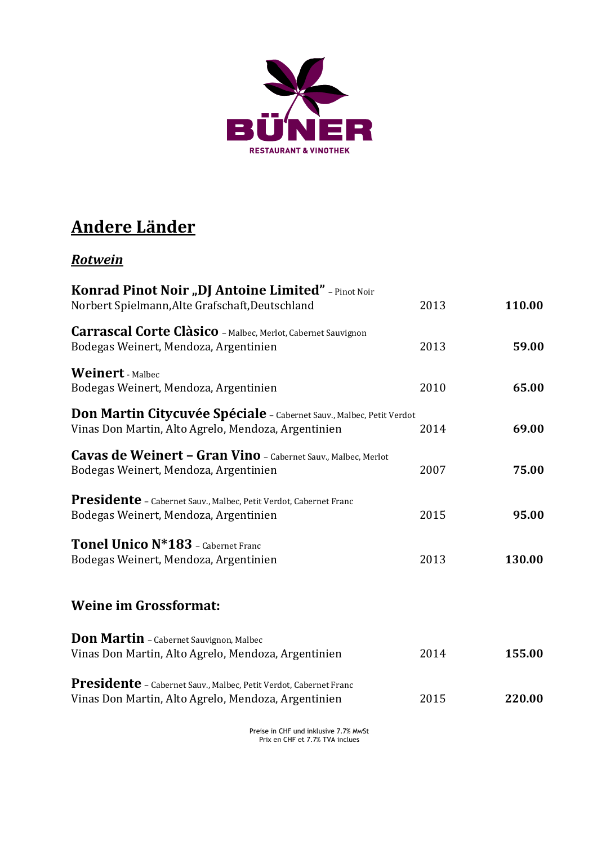

### **Andere Länder**

#### *Rotwein*

| Konrad Pinot Noir "DJ Antoine Limited" - Pinot Noir<br>Norbert Spielmann, Alte Grafschaft, Deutschland                      | 2013 | 110.00 |
|-----------------------------------------------------------------------------------------------------------------------------|------|--------|
| Carrascal Corte Clàsico - Malbec, Merlot, Cabernet Sauvignon<br>Bodegas Weinert, Mendoza, Argentinien                       | 2013 | 59.00  |
| <b>Weinert</b> - Malbec<br>Bodegas Weinert, Mendoza, Argentinien                                                            | 2010 | 65.00  |
| Don Martin Citycuvée Spéciale - Cabernet Sauv., Malbec, Petit Verdot<br>Vinas Don Martin, Alto Agrelo, Mendoza, Argentinien | 2014 | 69.00  |
| Cavas de Weinert - Gran Vino - Cabernet Sauv., Malbec, Merlot<br>Bodegas Weinert, Mendoza, Argentinien                      | 2007 | 75.00  |
| <b>Presidente</b> - Cabernet Sauv., Malbec, Petit Verdot, Cabernet Franc<br>Bodegas Weinert, Mendoza, Argentinien           | 2015 | 95.00  |
| Tonel Unico N*183 - Cabernet Franc<br>Bodegas Weinert, Mendoza, Argentinien                                                 | 2013 | 130.00 |
| <b>Weine im Grossformat:</b>                                                                                                |      |        |
| <b>Don Martin</b> - Cabernet Sauvignon, Malbec<br>Vinas Don Martin, Alto Agrelo, Mendoza, Argentinien                       | 2014 | 155.00 |
| Presidente - Cabernet Sauv., Malbec, Petit Verdot, Cabernet Franc<br>Vinas Don Martin, Alto Agrelo, Mendoza, Argentinien    | 2015 | 220.00 |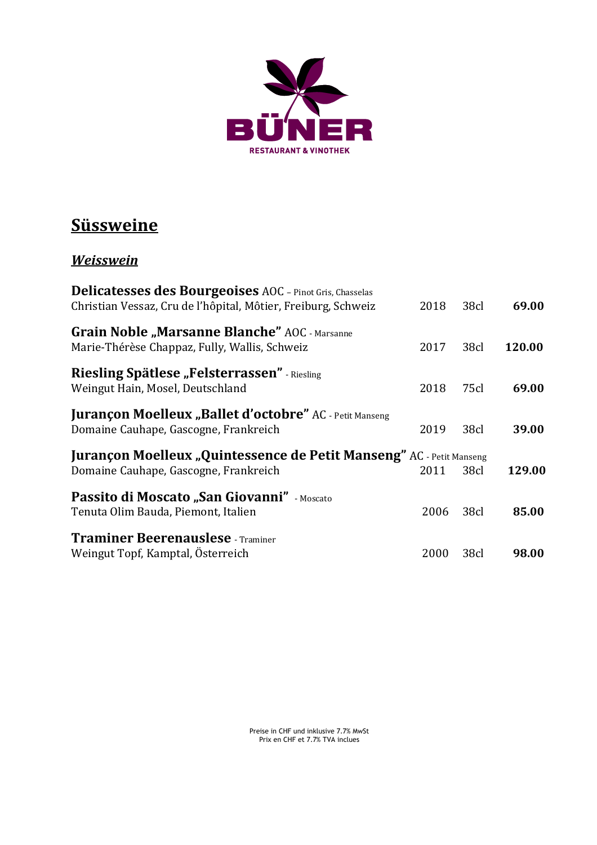

### **Süssweine**

#### *Weisswein*

| <b>Delicatesses des Bourgeoises</b> AOC - Pinot Gris, Chasselas                                               |      |                  |        |
|---------------------------------------------------------------------------------------------------------------|------|------------------|--------|
| Christian Vessaz, Cru de l'hôpital, Môtier, Freiburg, Schweiz                                                 | 2018 | 38cl             | 69.00  |
| <b>Grain Noble "Marsanne Blanche"</b> AOC - Marsanne<br>Marie-Thérèse Chappaz, Fully, Wallis, Schweiz         | 2017 | 38cl             | 120.00 |
| <b>Riesling Spätlese "Felsterrassen"</b> - Riesling<br>Weingut Hain, Mosel, Deutschland                       | 2018 | 75cl             | 69.00  |
| <b>Jurançon Moelleux "Ballet d'octobre"</b> AC - Petit Manseng<br>Domaine Cauhape, Gascogne, Frankreich       | 2019 | 38cl             | 39.00  |
| Jurançon Moelleux "Quintessence de Petit Manseng" AC - Petit Manseng<br>Domaine Cauhape, Gascogne, Frankreich | 2011 | 38cl             | 129.00 |
| Passito di Moscato "San Giovanni" - Moscato<br>Tenuta Olim Bauda, Piemont, Italien                            | 2006 | 38 <sub>cl</sub> | 85.00  |
| <b>Traminer Beerenauslese</b> - Traminer<br>Weingut Topf, Kamptal, Österreich                                 | 2000 | 38cl             | 98.00  |